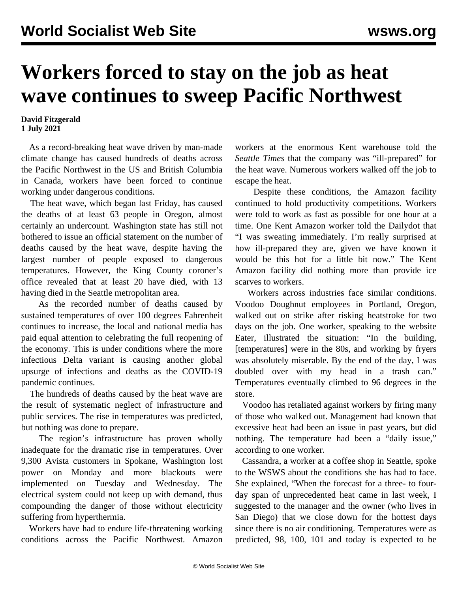## **Workers forced to stay on the job as heat wave continues to sweep Pacific Northwest**

## **David Fitzgerald 1 July 2021**

 As a record-breaking heat wave driven by man-made climate change has caused hundreds of deaths across the Pacific Northwest in the US and British Columbia in Canada, workers have been forced to continue working under dangerous conditions.

 The heat wave, which began last Friday, has caused the deaths of at least 63 people in Oregon, almost certainly an undercount. Washington state has still not bothered to issue an official statement on the number of deaths caused by the heat wave, despite having the largest number of people exposed to dangerous temperatures. However, the King County coroner's office revealed that at least 20 have died, with 13 having died in the Seattle metropolitan area.

 As the recorded number of deaths caused by sustained temperatures of over 100 degrees Fahrenheit continues to increase, the local and national media has paid equal attention to celebrating the full reopening of the economy. This is under conditions where the more infectious Delta variant is causing another global upsurge of infections and deaths as the COVID-19 pandemic continues.

 The hundreds of deaths caused by the heat wave are the result of systematic neglect of infrastructure and public services. The rise in temperatures was predicted, but nothing was done to prepare.

 The region's infrastructure has proven wholly inadequate for the dramatic rise in temperatures. Over 9,300 Avista customers in Spokane, Washington lost power on Monday and more blackouts were implemented on Tuesday and Wednesday. The electrical system could not keep up with demand, thus compounding the danger of those without electricity suffering from hyperthermia.

 Workers have had to endure life-threatening working conditions across the Pacific Northwest. Amazon workers at the enormous Kent warehouse told the *Seattle Times* that the company was "ill-prepared" for the heat wave. Numerous workers walked off the job to escape the heat.

 Despite these conditions, the Amazon facility continued to hold productivity competitions. Workers were told to work as fast as possible for one hour at a time. One Kent Amazon worker told the Dailydot that "I was sweating immediately. I'm really surprised at how ill-prepared they are, given we have known it would be this hot for a little bit now." The Kent Amazon facility did nothing more than provide ice scarves to workers.

 Workers across industries face similar conditions. Voodoo Doughnut employees in Portland, Oregon, walked out on strike after risking heatstroke for two days on the job. One worker, speaking to the website Eater, illustrated the situation: "In the building, [temperatures] were in the 80s, and working by fryers was absolutely miserable. By the end of the day, I was doubled over with my head in a trash can." Temperatures eventually climbed to 96 degrees in the store.

 Voodoo has retaliated against workers by firing many of those who walked out. Management had known that excessive heat had been an issue in past years, but did nothing. The temperature had been a "daily issue," according to one worker.

 Cassandra, a worker at a coffee shop in Seattle, spoke to the WSWS about the conditions she has had to face. She explained, "When the forecast for a three- to fourday span of unprecedented heat came in last week, I suggested to the manager and the owner (who lives in San Diego) that we close down for the hottest days since there is no air conditioning. Temperatures were as predicted, 98, 100, 101 and today is expected to be